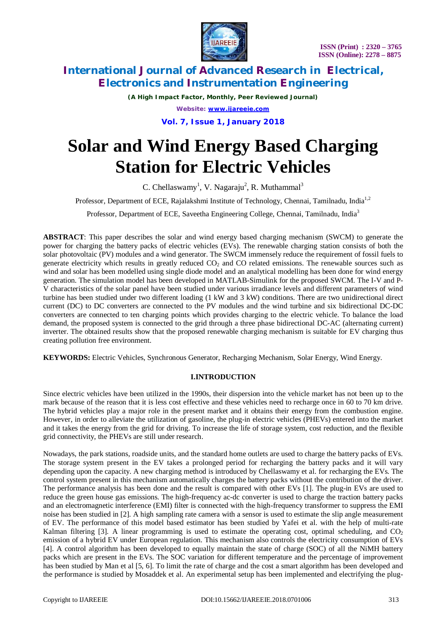

*(A High Impact Factor, Monthly, Peer Reviewed Journal) Website: [www.ijareeie.com](http://www.ijareeie.com)*

**Vol. 7, Issue 1, January 2018**

# **Solar and Wind Energy Based Charging Station for Electric Vehicles**

C. Chellaswamy<sup>1</sup>, V. Nagaraju<sup>2</sup>, R. Muthammal<sup>3</sup>

Professor, Department of ECE, Rajalakshmi Institute of Technology, Chennai, Tamilnadu, India<sup>1,2</sup>

Professor, Department of ECE, Saveetha Engineering College, Chennai, Tamilnadu, India<sup>3</sup>

**ABSTRACT**: This paper describes the solar and wind energy based charging mechanism (SWCM) to generate the power for charging the battery packs of electric vehicles (EVs). The renewable charging station consists of both the solar photovoltaic (PV) modules and a wind generator. The SWCM immensely reduce the requirement of fossil fuels to generate electricity which results in greatly reduced  $CO<sub>2</sub>$  and CO related emissions. The renewable sources such as wind and solar has been modelled using single diode model and an analytical modelling has been done for wind energy generation. The simulation model has been developed in MATLAB-Simulink for the proposed SWCM. The I-V and P-V characteristics of the solar panel have been studied under various irradiance levels and different parameters of wind turbine has been studied under two different loading (1 kW and 3 kW) conditions. There are two unidirectional direct current (DC) to DC converters are connected to the PV modules and the wind turbine and six bidirectional DC-DC converters are connected to ten charging points which provides charging to the electric vehicle. To balance the load demand, the proposed system is connected to the grid through a three phase bidirectional DC-AC (alternating current) inverter. The obtained results show that the proposed renewable charging mechanism is suitable for EV charging thus creating pollution free environment.

**KEYWORDS:** Electric Vehicles, Synchronous Generator, Recharging Mechanism, Solar Energy, Wind Energy.

### **I.INTRODUCTION**

Since electric vehicles have been utilized in the 1990s, their dispersion into the vehicle market has not been up to the mark because of the reason that it is less cost effective and these vehicles need to recharge once in 60 to 70 km drive. The hybrid vehicles play a major role in the present market and it obtains their energy from the combustion engine. However, in order to alleviate the utilization of gasoline, the plug-in electric vehicles (PHEVs) entered into the market and it takes the energy from the grid for driving. To increase the life of storage system, cost reduction, and the flexible grid connectivity, the PHEVs are still under research.

Nowadays, the park stations, roadside units, and the standard home outlets are used to charge the battery packs of EVs. The storage system present in the EV takes a prolonged period for recharging the battery packs and it will vary depending upon the capacity. A new charging method is introduced by Chellaswamy et al. for recharging the EVs. The control system present in this mechanism automatically charges the battery packs without the contribution of the driver. The performance analysis has been done and the result is compared with other EVs [1]. The plug-in EVs are used to reduce the green house gas emissions. The high-frequency ac-dc converter is used to charge the traction battery packs and an electromagnetic interference (EMI) filter is connected with the high-frequency transformer to suppress the EMI noise has been studied in [2]. A high sampling rate camera with a sensor is used to estimate the slip angle measurement of EV. The performance of this model based estimator has been studied by Yafei et al. with the help of multi-rate Kalman filtering  $[3]$ . A linear programming is used to estimate the operating cost, optimal scheduling, and  $CO<sub>2</sub>$ emission of a hybrid EV under European regulation. This mechanism also controls the electricity consumption of EVs [4]. A control algorithm has been developed to equally maintain the state of charge (SOC) of all the NiMH battery packs which are present in the EVs. The SOC variation for different temperature and the percentage of improvement has been studied by Man et al [5, 6]. To limit the rate of charge and the cost a smart algorithm has been developed and the performance is studied by Mosaddek et al. An experimental setup has been implemented and electrifying the plug-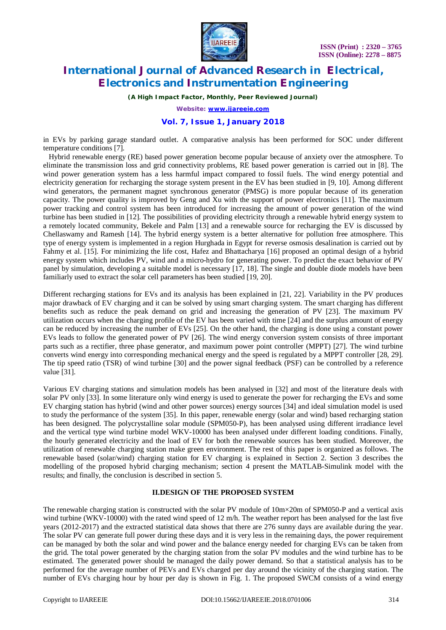

*(A High Impact Factor, Monthly, Peer Reviewed Journal)*

*Website: [www.ijareeie.com](http://www.ijareeie.com)*

### **Vol. 7, Issue 1, January 2018**

in EVs by parking garage standard outlet. A comparative analysis has been performed for SOC under different temperature conditions [7].

 Hybrid renewable energy (RE) based power generation become popular because of anxiety over the atmosphere. To eliminate the transmission loss and grid connectivity problems, RE based power generation is carried out in [8]. The wind power generation system has a less harmful impact compared to fossil fuels. The wind energy potential and electricity generation for recharging the storage system present in the EV has been studied in [9, 10]. Among different wind generators, the permanent magnet synchronous generator (PMSG) is more popular because of its generation capacity. The power quality is improved by Geng and Xu with the support of power electronics [11]. The maximum power tracking and control system has been introduced for increasing the amount of power generation of the wind turbine has been studied in [12]. The possibilities of providing electricity through a renewable hybrid energy system to a remotely located community, Bekele and Palm [13] and a renewable source for recharging the EV is discussed by Chellaswamy and Ramesh [14]. The hybrid energy system is a better alternative for pollution free atmosphere. This type of energy system is implemented in a region Hurghada in Egypt for reverse osmosis desalination is carried out by Fahmy et al. [15]. For minimizing the life cost, Hafez and Bhattacharya [16] proposed an optimal design of a hybrid energy system which includes PV, wind and a micro-hydro for generating power. To predict the exact behavior of PV panel by simulation, developing a suitable model is necessary [17, 18]. The single and double diode models have been familiarly used to extract the solar cell parameters has been studied [19, 20].

Different recharging stations for EVs and its analysis has been explained in [21, 22]. Variability in the PV produces major drawback of EV charging and it can be solved by using smart charging system. The smart charging has different benefits such as reduce the peak demand on grid and increasing the generation of PV [23]. The maximum PV utilization occurs when the charging profile of the EV has been varied with time [24] and the surplus amount of energy can be reduced by increasing the number of EVs [25]. On the other hand, the charging is done using a constant power EVs leads to follow the generated power of PV [26]. The wind energy conversion system consists of three important parts such as a rectifier, three phase generator, and maximum power point controller (MPPT) [27]. The wind turbine converts wind energy into corresponding mechanical energy and the speed is regulated by a MPPT controller [28, 29]. The tip speed ratio (TSR) of wind turbine [30] and the power signal feedback (PSF) can be controlled by a reference value [31].

Various EV charging stations and simulation models has been analysed in [32] and most of the literature deals with solar PV only [33]. In some literature only wind energy is used to generate the power for recharging the EVs and some EV charging station has hybrid (wind and other power sources) energy sources [34] and ideal simulation model is used to study the performance of the system [35]. In this paper, renewable energy (solar and wind) based recharging station has been designed. The polycrystalline solar module (SPM050-P), has been analysed using different irradiance level and the vertical type wind turbine model WKV-10000 has been analysed under different loading conditions. Finally, the hourly generated electricity and the load of EV for both the renewable sources has been studied. Moreover, the utilization of renewable charging station make green environment. The rest of this paper is organized as follows. The renewable based (solar/wind) charging station for EV charging is explained in Section 2. Section 3 describes the modelling of the proposed hybrid charging mechanism; section 4 present the MATLAB-Simulink model with the results; and finally, the conclusion is described in section 5.

### **II.DESIGN OF THE PROPOSED SYSTEM**

The renewable charging station is constructed with the solar PV module of  $10m \times 20m$  of SPM050-P and a vertical axis wind turbine (WKV-10000) with the rated wind speed of 12 m/h. The weather report has been analysed for the last five years (2012-2017) and the extracted statistical data shows that there are 276 sunny days are available during the year. The solar PV can generate full power during these days and it is very less in the remaining days, the power requirement can be managed by both the solar and wind power and the balance energy needed for charging EVs can be taken from the grid. The total power generated by the charging station from the solar PV modules and the wind turbine has to be estimated. The generated power should be managed the daily power demand. So that a statistical analysis has to be performed for the average number of PEVs and EVs charged per day around the vicinity of the charging station. The number of EVs charging hour by hour per day is shown in Fig. 1. The proposed SWCM consists of a wind energy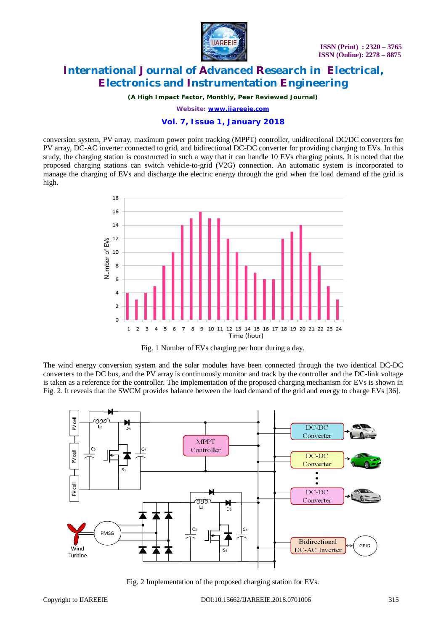

*(A High Impact Factor, Monthly, Peer Reviewed Journal)*

*Website: [www.ijareeie.com](http://www.ijareeie.com)*

### **Vol. 7, Issue 1, January 2018**

conversion system, PV array, maximum power point tracking (MPPT) controller, unidirectional DC/DC converters for PV array, DC-AC inverter connected to grid, and bidirectional DC-DC converter for providing charging to EVs. In this study, the charging station is constructed in such a way that it can handle 10 EVs charging points. It is noted that the proposed charging stations can switch vehicle-to-grid (V2G) connection. An automatic system is incorporated to manage the charging of EVs and discharge the electric energy through the grid when the load demand of the grid is high.





The wind energy conversion system and the solar modules have been connected through the two identical DC-DC converters to the DC bus, and the PV array is continuously monitor and track by the controller and the DC-link voltage is taken as a reference for the controller. The implementation of the proposed charging mechanism for EVs is shown in Fig. 2. It reveals that the SWCM provides balance between the load demand of the grid and energy to charge EVs [36].



Fig. 2 Implementation of the proposed charging station for EVs.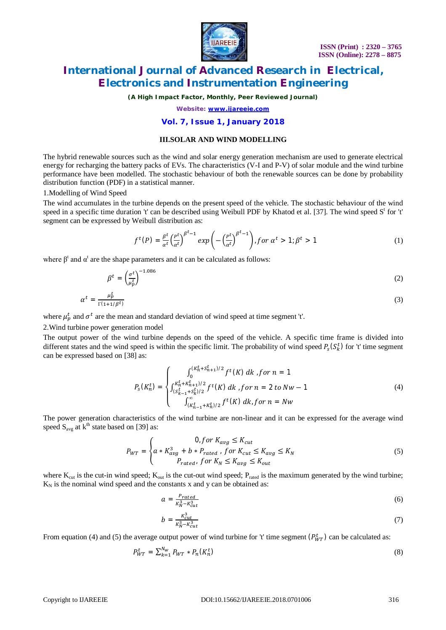

*(A High Impact Factor, Monthly, Peer Reviewed Journal)*

*Website: [www.ijareeie.com](http://www.ijareeie.com)*

### **Vol. 7, Issue 1, January 2018**

#### **III.SOLAR AND WIND MODELLING**

The hybrid renewable sources such as the wind and solar energy generation mechanism are used to generate electrical energy for recharging the battery packs of EVs. The characteristics (V-I and P-V) of solar module and the wind turbine performance have been modelled. The stochastic behaviour of both the renewable sources can be done by probability distribution function (PDF) in a statistical manner.

1.Modelling of Wind Speed

The wind accumulates in the turbine depends on the present speed of the vehicle. The stochastic behaviour of the wind speed in a specific time duration 't' can be described using Weibull PDF by Khatod et al. [37]. The wind speed S<sup>t</sup> for 't' segment can be expressed by Weibull distribution as:

$$
f^t(P) = \frac{\beta^t}{\alpha^t} \left(\frac{P^t}{\alpha^t}\right)^{\beta^t - 1} \exp\left(-\left(\frac{P^t}{\alpha^t}\right)^{\beta^t - 1}\right), \text{for } \alpha^t > 1; \beta^t > 1 \tag{1}
$$

where  $\beta^t$  and  $\alpha^t$  are the shape parameters and it can be calculated as follows:

$$
\beta^t = \left(\frac{\sigma^t}{\mu_p^t}\right)^{-1.086} \tag{2}
$$

$$
\alpha^t = \frac{\mu_p^t}{\Gamma(1+1/\beta^t)}\tag{3}
$$

where  $\mu_p^t$  and  $\sigma^t$  are the mean and standard deviation of wind speed at time segment 't'.

#### 2.Wind turbine power generation model

The output power of the wind turbine depends on the speed of the vehicle. A specific time frame is divided into different states and the wind speed is within the specific limit. The probability of wind speed  $P_s(S_k^t)$  for 't' time segment can be expressed based on [38] as:

$$
P_{s}(K_{n}^{t}) = \begin{cases} \int_{0}^{(K_{n}^{t} + S_{n+1}^{t})/2} f^{t}(K) dk, \text{ for } n = 1\\ \int_{(S_{k-1}^{t} + S_{k}^{t})/2}^{K_{n}^{t} + K_{n+1}^{t})/2} f^{t}(K) dk, \text{ for } n = 2 \text{ to } Nw - 1\\ \int_{(K_{n-1}^{t} + K_{n}^{t})/2}^{x} f^{t}(K) dk, \text{ for } n = Nw \end{cases} \tag{4}
$$

The power generation characteristics of the wind turbine are non-linear and it can be expressed for the average wind speed  $S_{avg}$  at  $k^{th}$  state based on [39] as:

$$
P_{WT} = \begin{cases} 0, for\ K_{avg} \le K_{cut} \\ a * K_{avg}^3 + b * P_{rated} \cdot for\ K_{cut} \le K_{avg} \le K_N \\ P_{rated} \cdot for\ K_N \le K_{avg} \le K_{out} \end{cases} \tag{5}
$$

where  $K_{\text{cut}}$  is the cut-in wind speed;  $K_{\text{out}}$  is the cut-out wind speed;  $P_{\text{rated}}$  is the maximum generated by the wind turbine;  $K_N$  is the nominal wind speed and the constants x and y can be obtained as:

$$
a = \frac{P_{rated}}{K_N^3 - K_{cut}^3} \tag{6}
$$

$$
b = \frac{\kappa_{cut}^3}{\kappa_N^3 - \kappa_{cut}^3} \tag{7}
$$

From equation (4) and (5) the average output power of wind turbine for 't' time segment  $(P_{WT}^t)$  can be calculated as:

$$
P_{WT}^t = \sum_{k=1}^{N_W} P_{WT} * P_n(K_n^t)
$$
\n(8)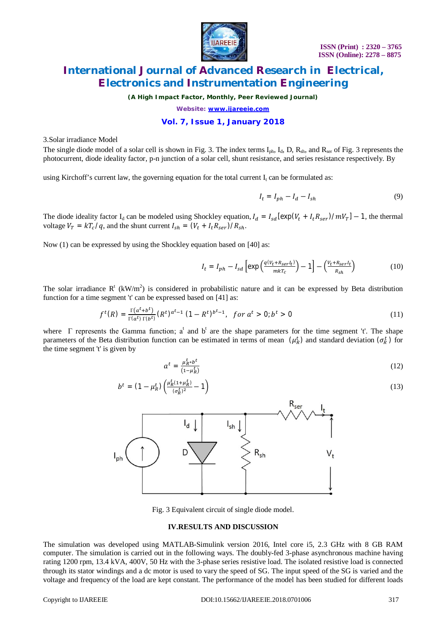

*(A High Impact Factor, Monthly, Peer Reviewed Journal)*

*Website: [www.ijareeie.com](http://www.ijareeie.com)*

### **Vol. 7, Issue 1, January 2018**

3.Solar irradiance Model

The single diode model of a solar cell is shown in Fig. 3. The index terms  $I_{ph}$ ,  $I_d$ ,  $D$ ,  $R_{sh}$ , and  $R_{ser}$  of Fig. 3 represents the photocurrent, diode ideality factor, p-n junction of a solar cell, shunt resistance, and series resistance respectively. By

using Kirchoff's current law, the governing equation for the total current  $I_t$  can be formulated as:

$$
I_t = I_{ph} - I_d - I_{sh} \tag{9}
$$

The diode ideality factor  $I_d$  can be modeled using Shockley equation,  $I_d = I_{sd}[\exp(V_t + I_t R_{ser})/mV_T] - 1$ , the thermal voltage  $V_T = kT_c/q$ , and the shunt current  $I_{sh} = (V_t + I_t R_{ser})/R_{sh}$ .

Now (1) can be expressed by using the Shockley equation based on [40] as:

$$
I_t = I_{ph} - I_{sd} \left[ \exp\left(\frac{q(v_t + R_{ser}t_t)}{mkT_c}\right) - 1 \right] - \left(\frac{v_t + R_{ser}t_t}{R_{sh}}\right) \tag{10}
$$

The solar irradiance  $R^t$  (kW/m<sup>2</sup>) is considered in probabilistic nature and it can be expressed by Beta distribution function for a time segment 't' can be expressed based on [41] as:

$$
f^{t}(R) = \frac{\Gamma(a^{t}+b^{t})}{\Gamma(a^{t})\Gamma(b^{t})}(R^{t})^{a^{t}-1}(1-R^{t})^{b^{t}-1}, \quad \text{for } a^{t} > 0; b^{t} > 0 \tag{11}
$$

where  $\Gamma$  represents the Gamma function; a<sup>t</sup> and b<sup>t</sup> are the shape parameters for the time segment 't'. The shape parameters of the Beta distribution function can be estimated in terms of mean  $(\mu_R^t)$  and standard deviation  $(\sigma_R^t)$  for the time segment 't' is given by

$$
a^t = \frac{\mu_R^t * b^t}{(1 - \mu_R^t)}
$$
(12)

$$
b^{t} = (1 - \mu_{R}^{t}) \left( \frac{\mu_{R}^{t}(1 + \mu_{R}^{t})}{(\sigma_{R}^{t})^{2}} - 1 \right)
$$
 (13)



Fig. 3 Equivalent circuit of single diode model.

#### **IV.RESULTS AND DISCUSSION**

The simulation was developed using MATLAB-Simulink version 2016, Intel core i5, 2.3 GHz with 8 GB RAM computer. The simulation is carried out in the following ways. The doubly-fed 3-phase asynchronous machine having rating 1200 rpm, 13.4 kVA, 400V, 50 Hz with the 3-phase series resistive load. The isolated resistive load is connected through its stator windings and a dc motor is used to vary the speed of SG. The input speed of the SG is varied and the voltage and frequency of the load are kept constant. The performance of the model has been studied for different loads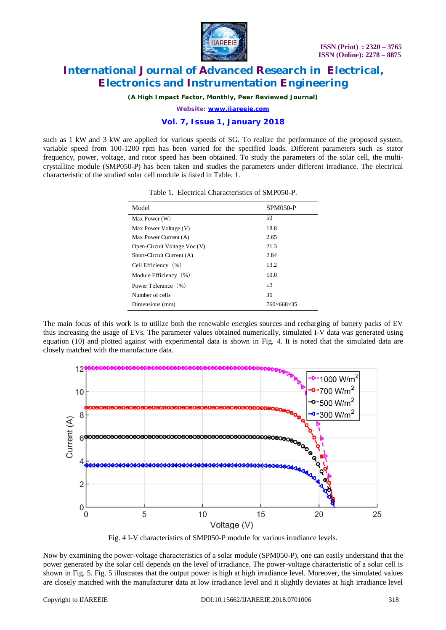

*(A High Impact Factor, Monthly, Peer Reviewed Journal)*

*Website: [www.ijareeie.com](http://www.ijareeie.com)*

### **Vol. 7, Issue 1, January 2018**

such as 1 kW and 3 kW are applied for various speeds of SG. To realize the performance of the proposed system, variable speed from 100-1200 rpm has been varied for the specified loads. Different parameters such as stator frequency, power, voltage, and rotor speed has been obtained. To study the parameters of the solar cell, the multicrystalline module (SMP050-P) has been taken and studies the parameters under different irradiance. The electrical characteristic of the studied solar cell module is listed in Table. 1.

| Model                        | <b>SPM050-P</b>          |
|------------------------------|--------------------------|
| Max Power (W)                | 50                       |
| Max Power Voltage (V)        | 18.8                     |
| Max Power Current (A)        | 2.65                     |
| Open-Circuit Voltage Voc (V) | 21.3                     |
| Short-Circuit Current (A)    | 2.84                     |
| Cell Efficiency $(\% )$      | 13.2                     |
| Module Efficiency (%)        | 10.0                     |
| Power Tolerance (%)          | $+3$                     |
| Number of cells              | 36                       |
| Dimensions (mm)              | $760\times 668\times 35$ |

Table 1. Electrical Characteristics of SMP050-P.

The main focus of this work is to utilize both the renewable energies sources and recharging of battery packs of EV thus increasing the usage of EVs. The parameter values obtained numerically, simulated I-V data was generated using equation (10) and plotted against with experimental data is shown in Fig. 4. It is noted that the simulated data are closely matched with the manufacture data.



Fig. 4 I-V characteristics of SMP050-P module for various irradiance levels.

Now by examining the power-voltage characteristics of a solar module (SPM050-P), one can easily understand that the power generated by the solar cell depends on the level of irradiance. The power-voltage characteristic of a solar cell is shown in Fig. 5. Fig. 5 illustrates that the output power is high at high irradiance level. Moreover, the simulated values are closely matched with the manufacturer data at low irradiance level and it slightly deviates at high irradiance level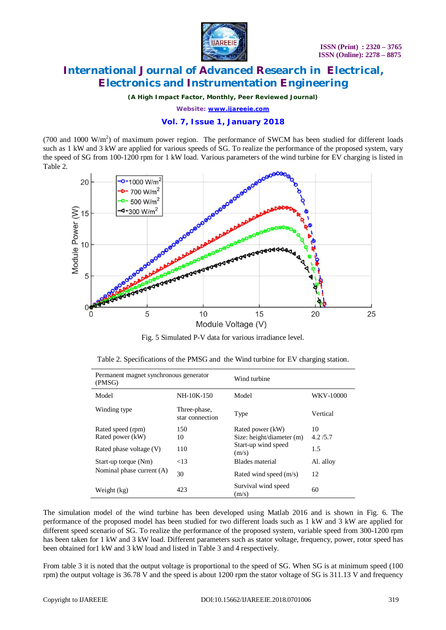

*(A High Impact Factor, Monthly, Peer Reviewed Journal)*

*Website: [www.ijareeie.com](http://www.ijareeie.com)*

### **Vol. 7, Issue 1, January 2018**

(700 and 1000  $\text{W/m}^2$ ) of maximum power region. The performance of SWCM has been studied for different loads such as 1 kW and 3 kW are applied for various speeds of SG. To realize the performance of the proposed system, vary the speed of SG from 100-1200 rpm for 1 kW load. Various parameters of the wind turbine for EV charging is listed in Table 2.



Fig. 5 Simulated P-V data for various irradiance level.

|  | Table 2. Specifications of the PMSG and the Wind turbine for EV charging station. |
|--|-----------------------------------------------------------------------------------|
|--|-----------------------------------------------------------------------------------|

| Permanent magnet synchronous generator<br>(PMSG) |                                 | Wind turbine                 |                  |  |  |  |
|--------------------------------------------------|---------------------------------|------------------------------|------------------|--|--|--|
| Model                                            | $NH-10K-150$                    | Model                        | <b>WKV-10000</b> |  |  |  |
| Winding type                                     | Three-phase,<br>star connection | Type                         | Vertical         |  |  |  |
| Rated speed (rpm)                                | 150                             | Rated power (kW)             | 10               |  |  |  |
| Rated power (kW)                                 | 10                              | Size: height/diameter (m)    | 4.2/5.7          |  |  |  |
| Rated phase voltage $(V)$                        | 110                             | Start-up wind speed<br>(m/s) | 1.5              |  |  |  |
| Start-up torque (Nm)                             | ${<}13$                         | Blades material              | Al. alloy        |  |  |  |
| Nominal phase current (A)                        | 30                              | Rated wind speed (m/s)       | 12               |  |  |  |
| Weight (kg)                                      | 423                             | Survival wind speed<br>(m/s) | 60               |  |  |  |

The simulation model of the wind turbine has been developed using Matlab 2016 and is shown in Fig. 6. The performance of the proposed model has been studied for two different loads such as 1 kW and 3 kW are applied for different speed scenario of SG. To realize the performance of the proposed system, variable speed from 300-1200 rpm has been taken for 1 kW and 3 kW load. Different parameters such as stator voltage, frequency, power, rotor speed has been obtained for1 kW and 3 kW load and listed in Table 3 and 4 respectively.

From table 3 it is noted that the output voltage is proportional to the speed of SG. When SG is at minimum speed (100 rpm) the output voltage is 36.78 V and the speed is about 1200 rpm the stator voltage of SG is 311.13 V and frequency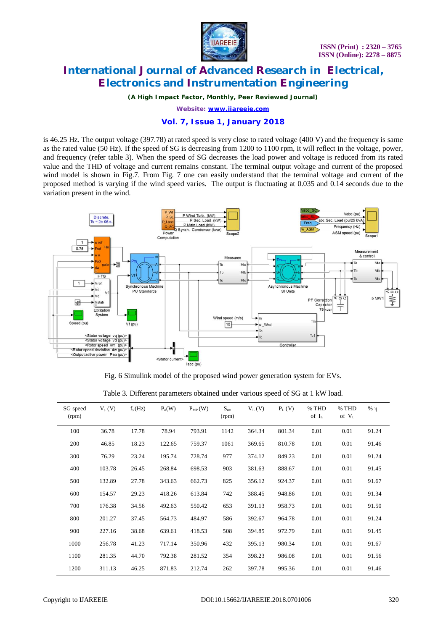

*(A High Impact Factor, Monthly, Peer Reviewed Journal)*

*Website: [www.ijareeie.com](http://www.ijareeie.com)*

### **Vol. 7, Issue 1, January 2018**

is 46.25 Hz. The output voltage (397.78) at rated speed is very close to rated voltage (400 V) and the frequency is same as the rated value (50 Hz). If the speed of SG is decreasing from 1200 to 1100 rpm, it will reflect in the voltage, power, and frequency (refer table 3). When the speed of SG decreases the load power and voltage is reduced from its rated value and the THD of voltage and current remains constant. The terminal output voltage and current of the proposed wind model is shown in Fig.7. From Fig. 7 one can easily understand that the terminal voltage and current of the proposed method is varying if the wind speed varies. The output is fluctuating at 0.035 and 0.14 seconds due to the variation present in the wind.



Fig. 6 Simulink model of the proposed wind power generation system for EVs.

| SG speed<br>(rpm) | $V_s(V)$ | $f_s(Hz)$ | $P_0(W)$ | $P_{MP}(W)$ | $S_{rm}$<br>(rpm) | $V_L(V)$ | $P_L(V)$ | % THD<br>of $I_L$ | % THD<br>of $V_L$ | $%$ $\eta$ |
|-------------------|----------|-----------|----------|-------------|-------------------|----------|----------|-------------------|-------------------|------------|
| 100               | 36.78    | 17.78     | 78.94    | 793.91      | 1142              | 364.34   | 801.34   | 0.01              | 0.01              | 91.24      |
| 200               | 46.85    | 18.23     | 122.65   | 759.37      | 1061              | 369.65   | 810.78   | 0.01              | 0.01              | 91.46      |
| 300               | 76.29    | 23.24     | 195.74   | 728.74      | 977               | 374.12   | 849.23   | 0.01              | 0.01              | 91.24      |
| 400               | 103.78   | 26.45     | 268.84   | 698.53      | 903               | 381.63   | 888.67   | 0.01              | 0.01              | 91.45      |
| 500               | 132.89   | 27.78     | 343.63   | 662.73      | 825               | 356.12   | 924.37   | 0.01              | 0.01              | 91.67      |
| 600               | 154.57   | 29.23     | 418.26   | 613.84      | 742               | 388.45   | 948.86   | 0.01              | 0.01              | 91.34      |
| 700               | 176.38   | 34.56     | 492.63   | 550.42      | 653               | 391.13   | 958.73   | 0.01              | 0.01              | 91.50      |
| 800               | 201.27   | 37.45     | 564.73   | 484.97      | 586               | 392.67   | 964.78   | 0.01              | 0.01              | 91.24      |
| 900               | 227.16   | 38.68     | 639.61   | 418.53      | 508               | 394.85   | 972.79   | 0.01              | 0.01              | 91.45      |
| 1000              | 256.78   | 41.23     | 717.14   | 350.96      | 432               | 395.13   | 980.34   | 0.01              | 0.01              | 91.67      |
| 1100              | 281.35   | 44.70     | 792.38   | 281.52      | 354               | 398.23   | 986.08   | 0.01              | 0.01              | 91.56      |
| 1200              | 311.13   | 46.25     | 871.83   | 212.74      | 262               | 397.78   | 995.36   | 0.01              | 0.01              | 91.46      |

Table 3. Different parameters obtained under various speed of SG at 1 kW load.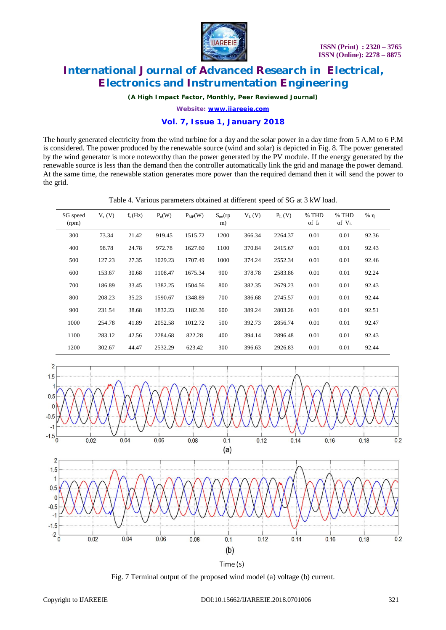

*(A High Impact Factor, Monthly, Peer Reviewed Journal)*

*Website: [www.ijareeie.com](http://www.ijareeie.com)*

### **Vol. 7, Issue 1, January 2018**

The hourly generated electricity from the wind turbine for a day and the solar power in a day time from 5 A.M to 6 P.M is considered. The power produced by the renewable source (wind and solar) is depicted in Fig. 8. The power generated by the wind generator is more noteworthy than the power generated by the PV module. If the energy generated by the renewable source is less than the demand then the controller automatically link the grid and manage the power demand. At the same time, the renewable station generates more power than the required demand then it will send the power to the grid.

|  | Table 4. Various parameters obtained at different speed of SG at 3 kW load. |  |  |  |
|--|-----------------------------------------------------------------------------|--|--|--|
|  |                                                                             |  |  |  |

| SG speed<br>(rpm) | $V_s(V)$ | $f_s(Hz)$ | $P_0(W)$ | $P_{MP}(W)$ | $S_{rm}(rp)$<br>m) | $V_L(V)$ | $P_L(V)$ | % THD<br>of $I_{L}$ | % THD<br>of $V_L$ | $%$ $\eta$ |
|-------------------|----------|-----------|----------|-------------|--------------------|----------|----------|---------------------|-------------------|------------|
| 300               | 73.34    | 21.42     | 919.45   | 1515.72     | 1200               | 366.34   | 2264.37  | 0.01                | 0.01              | 92.36      |
| 400               | 98.78    | 24.78     | 972.78   | 1627.60     | 1100               | 370.84   | 2415.67  | 0.01                | 0.01              | 92.43      |
| 500               | 127.23   | 27.35     | 1029.23  | 1707.49     | 1000               | 374.24   | 2552.34  | 0.01                | 0.01              | 92.46      |
| 600               | 153.67   | 30.68     | 1108.47  | 1675.34     | 900                | 378.78   | 2583.86  | 0.01                | 0.01              | 92.24      |
| 700               | 186.89   | 33.45     | 1382.25  | 1504.56     | 800                | 382.35   | 2679.23  | 0.01                | 0.01              | 92.43      |
| 800               | 208.23   | 35.23     | 1590.67  | 1348.89     | 700                | 386.68   | 2745.57  | 0.01                | 0.01              | 92.44      |
| 900               | 231.54   | 38.68     | 1832.23  | 1182.36     | 600                | 389.24   | 2803.26  | 0.01                | 0.01              | 92.51      |
| 1000              | 254.78   | 41.89     | 2052.58  | 1012.72     | 500                | 392.73   | 2856.74  | 0.01                | 0.01              | 92.47      |
| 1100              | 283.12   | 42.56     | 2284.68  | 822.28      | 400                | 394.14   | 2896.48  | 0.01                | 0.01              | 92.43      |
| 1200              | 302.67   | 44.47     | 2532.29  | 623.42      | 300                | 396.63   | 2926.83  | 0.01                | 0.01              | 92.44      |



Fig. 7 Terminal output of the proposed wind model (a) voltage (b) current.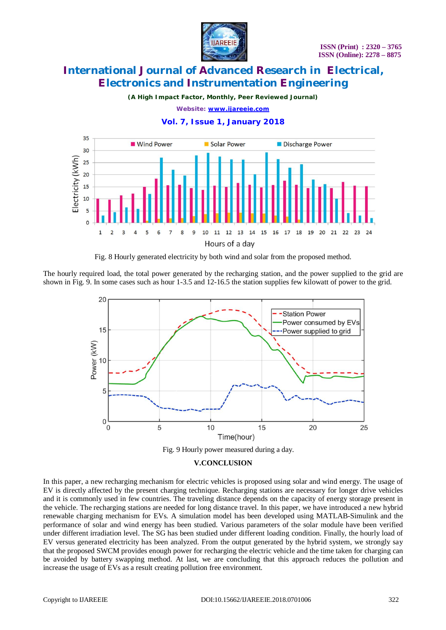

*(A High Impact Factor, Monthly, Peer Reviewed Journal)*

*Website: [www.ijareeie.com](http://www.ijareeie.com)*



**Vol. 7, Issue 1, January 2018**

Fig. 8 Hourly generated electricity by both wind and solar from the proposed method.

The hourly required load, the total power generated by the recharging station, and the power supplied to the grid are shown in Fig. 9. In some cases such as hour 1-3.5 and 12-16.5 the station supplies few kilowatt of power to the grid.



Fig. 9 Hourly power measured during a day.

### **V.CONCLUSION**

In this paper, a new recharging mechanism for electric vehicles is proposed using solar and wind energy. The usage of EV is directly affected by the present charging technique. Recharging stations are necessary for longer drive vehicles and it is commonly used in few countries. The traveling distance depends on the capacity of energy storage present in the vehicle. The recharging stations are needed for long distance travel. In this paper, we have introduced a new hybrid renewable charging mechanism for EVs. A simulation model has been developed using MATLAB-Simulink and the performance of solar and wind energy has been studied. Various parameters of the solar module have been verified under different irradiation level. The SG has been studied under different loading condition. Finally, the hourly load of EV versus generated electricity has been analyzed. From the output generated by the hybrid system, we strongly say that the proposed SWCM provides enough power for recharging the electric vehicle and the time taken for charging can be avoided by battery swapping method. At last, we are concluding that this approach reduces the pollution and increase the usage of EVs as a result creating pollution free environment.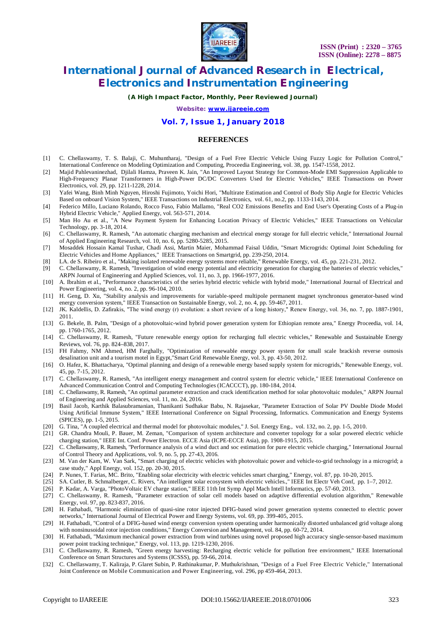

*(A High Impact Factor, Monthly, Peer Reviewed Journal)*

*Website: [www.ijareeie.com](http://www.ijareeie.com)*

### **Vol. 7, Issue 1, January 2018**

#### **REFERENCES**

- [1] C. Chellaswamy, T. S. Balaji, C. Muhuntharaj, "Design of a Fuel Free Electric Vehicle Using Fuzzy Logic for Pollution Control," International Conference on Modeling Optimization and Computing, Proceedia Engineering, vol. 38, pp. 1547-1558, 2012.
- [2] Majid Pahlevaninezhad, Djilali Hamza, Praveen K. Jain, "An Improved Layout Strategy for Common-Mode EMI Suppression Applicable to High-Frequency Planar Transformers in High-Power DC/DC Converters Used for Electric Vehicles," IEEE Transactions on Power Electronics, vol. 29, pp. 1211-1228, 2014.
- [3] Yafei Wang, Binh Minh Nguyen, Hiroshi Fujimoto, Yoichi Hori, "Multirate Estimation and Control of Body Slip Angle for Electric Vehicles Based on onboard Vision System," IEEE Transactions on Industrial Electronics, vol. 61, no.2, pp. 1133-1143, 2014.
- [4] Federico Millo, Luciano Rolando, Rocco Fuso, Fabio Mallamo, "Real CO2 Emissions Benefits and End User's Operating Costs of a Plug-in Hybrid Electric Vehicle," Applied Energy, vol. 563-571, 2014.
- [5] Man Ho Au et al., "A New Payment System for Enhancing Location Privacy of Electric Vehicles," IEEE Transactions on Vehicular Technology, pp. 3-18, 2014.
- [6] C. Chellaswamy, R. Ramesh, "An automatic charging mechanism and electrical energy storage for full electric vehicle," International Journal of Applied Engineering Research, vol. 10, no. 6, pp. 5280-5285, 2015.
- [7] Mosaddek Hossain Kamal Tushar, Chadi Assi, Martin Maier, Mohammad Faisal Uddin, "Smart Microgrids: Optimal Joint Scheduling for Electric Vehicles and Home Appliances," IEEE Transactions on Smartgrid, pp. 239-250, 2014.
- [8] LA. de S. Ribeiro et al., "Making isolated renewable energy systems more reliable," Renewable Energy, vol. 45, pp. 221-231, 2012.
- [9] C. Chellaswamy, R. Ramesh, "Investigation of wind energy potential and electricity generation for charging the batteries of electric vehicles," ARPN Journal of Engineering and Applied Sciences, vol. 11, no. 3, pp. 1966-1977, 2016.
- [10] A. Ibrahim et al., "Performance characteristics of the series hybrid electric vehicle with hybrid mode," International Journal of Electrical and Power Engineering, vol. 4, no. 2, pp. 96-104, 2010.
- [11] H. Geng, D. Xu, "Stability analysis and improvements for variable-speed multipole permanent magnet synchronous generator-based wind energy conversion system," IEEE Transaction on Sustainable Energy, vol. 2, no. 4, pp. 59-467, 2011.
- [12] JK. Kaldellis, D. Zafirakis, "The wind energy (r) evolution: a short review of a long history," Renew Energy, vol. 36, no. 7, pp. 1887-1901, 2011.
- [13] G. Bekele, B. Palm, "Design of a photovoltaic-wind hybrid power generation system for Ethiopian remote area," Energy Proceedia, vol. 14, pp. 1760-1765, 2012.
- [14] C. Chellaswamy, R. Ramesh, "Future renewable energy option for recharging full electric vehicles," Renewable and Sustainable Energy Reviews, vol. 76, pp. 824–838, 2017.
- [15] FH Fahmy, NM Ahmed, HM Farghally, "Optimization of renewable energy power system for small scale brackish reverse osmosis desalination unit and a tourism motel in Egypt,"Smart Grid Renewable Energy, vol. 3, pp. 43-50, 2012.
- [16] O. Hafez, K. Bhattacharya, "Optimal planning and design of a renewable energy based supply system for microgrids," Renewable Energy, vol. 45, pp. 7-15, 2012.
- [17] C. Chellaswamy, R. Ramesh, "An intelligent energy management and control system for electric vehicle," IEEE International Conference on Advanced Communication Control and Computing Technologies (ICACCCT), pp. 180-184, 2014.
- [18] C. Chellaswamy, R. Ramesh, "An optimal parameter extraction and crack identification method for solar photovoltaic modules," ARPN Journal of Engineering and Applied Sciences, vol. 11, no. 24, 2016.
- [19] Basil Jacob, Karthik Balasubramanian, Thanikanti Sudhakar Babu, N. Rajasekar, "Parameter Extraction of Solar PV Double Diode Model Using Artificial Immune System," IEEE International Conference on Signal Processing, Informatics. Communication and Energy Systems (SPICES), pp. 1-5, 2015.
- [20] G. Tina, "A coupled electrical and thermal model for photovoltaic modules," J. Sol. Energy Eng., vol. 132, no. 2, pp. 1-5, 2010.
- [21] GR. Chandra Mouli, P. Bauer, M. Zeman, "Comparison of system architecture and converter topology for a solar powered electric vehicle charging station," IEEE Int. Conf. Power Electron. ECCE Asia (ICPE-ECCE Asia), pp. 1908-1915, 2015.
- [22] C. Chellaswamy, R. Ramesh, "Performance analysis of a wind duct and soc estimation for pure electric vehicle charging," International Journal of Control Theory and Applications, vol. 9, no. 5, pp. 27-43, 2016.
- [23] M. Van der Kam, W. Van Sark, "Smart charging of electric vehicles with photovoltaic power and vehicle-to-grid technology in a microgrid; a case study," Appl Energy, vol. 152, pp. 20-30, 2015.
- [24] P. Nunes, T. Farias, MC. Brito, "Enabling solar electricity with electric vehicles smart charging," Energy, vol. 87, pp. 10-20, 2015.
- [25] SA. Cutler, B. Schmalberger, C. Rivers, "An intelligent solar ecosystem with electric vehicles.," IEEE Int Electr Veh Conf, pp. 1–7, 2012.
- [26] P. Kadar, A. Varga, "PhotoVoltaic EV charge station," IEEE 11th Int Symp Appl Mach Intell Informatics, pp. 57-60, 2013.
- [27] C. Chellaswamy, R. Ramesh, "Parameter extraction of solar cell models based on adaptive differential evolution algorithm," Renewable Energy, vol. 97, pp. 823-837, 2016.
- [28] H. Fathabadi, "Harmonic elimination of quasi-sine rotor injected DFIG-based wind power generation systems connected to electric power networks," International Journal of Electrical Power and Energy Systems, vol. 69, pp. 399-405, 2015.
- [29] H. Fathabadi, "Control of a DFIG-based wind energy conversion system operating under harmonically distorted unbalanced grid voltage along with nonsinusoidal rotor injection conditions," Energy Conversion and Management, vol. 84, pp. 60-72, 2014.
- [30] H. Fathabadi, "Maximum mechanical power extraction from wind turbines using novel proposed high accuracy single-sensor-based maximum power point tracking technique," Energy, vol. 113, pp. 1219-1230, 2016.
- [31] C. Chellaswamy, R. Ramesh, "Green energy harvesting: Recharging electric vehicle for pollution free environment," IEEE International Conference on Smart Structures and Systems (ICSSS), pp. 59-66, 2014.
- [32] C. Chellaswamy, T. Kaliraja, P. Glaret Subin, P. Rathinakumar, P. Muthukrishnan, "Design of a Fuel Free Electric Vehicle," International Joint Conference on Mobile Communication and Power Engineering, vol. 296, pp 459-464, 2013.